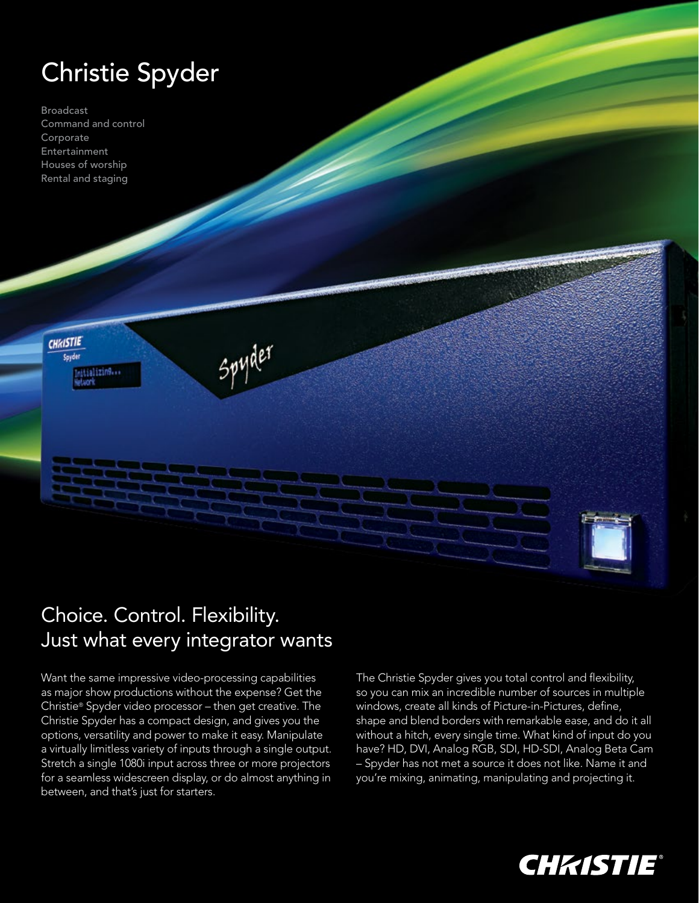# Christie Spyder

Broadcast Command and control Corporate Entertainment Houses of worship Rental and staging



**CHAISTIE** Spyder

## Choice. Control. Flexibility. Just what every integrator wants

Spyder

Want the same impressive video-processing capabilities as major show productions without the expense? Get the Christie® Spyder video processor – then get creative. The Christie Spyder has a compact design, and gives you the options, versatility and power to make it easy. Manipulate a virtually limitless variety of inputs through a single output. Stretch a single 1080i input across three or more projectors for a seamless widescreen display, or do almost anything in between, and that's just for starters.

The Christie Spyder gives you total control and flexibility, so you can mix an incredible number of sources in multiple windows, create all kinds of Picture-in-Pictures, define, shape and blend borders with remarkable ease, and do it all without a hitch, every single time. What kind of input do you have? HD, DVI, Analog RGB, SDI, HD-SDI, Analog Beta Cam – Spyder has not met a source it does not like. Name it and you're mixing, animating, manipulating and projecting it.

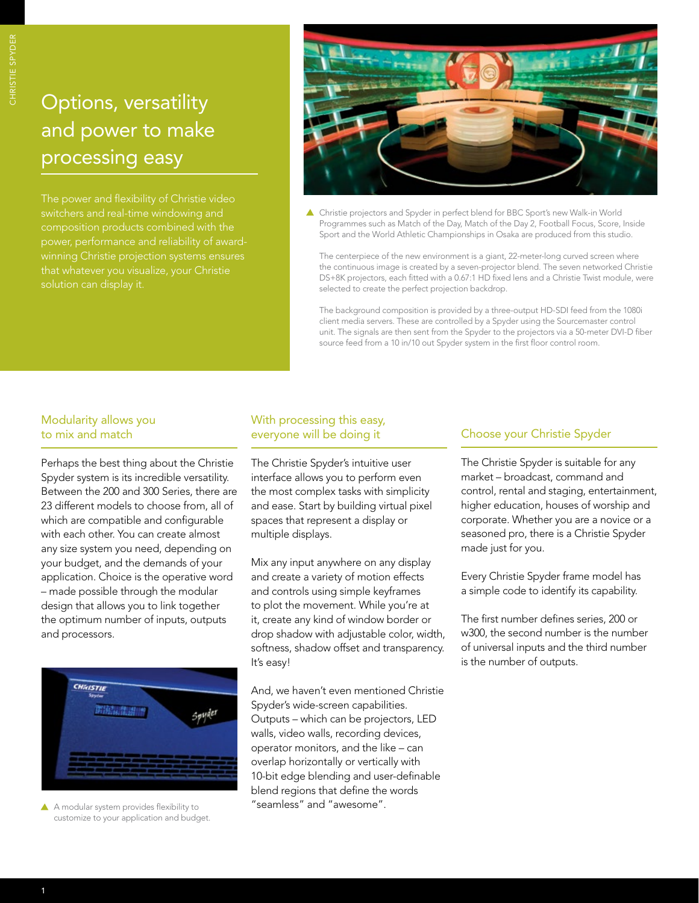### Options, versatility and power to make processing easy

switchers and real-time windowing and composition products combined with the power, performance and reliability of awardwinning Christie projection systems ensures solution can display it.



 Christie projectors and Spyder in perfect blend for BBC Sport's new Walk-in World Programmes such as Match of the Day, Match of the Day 2, Football Focus, Score, Inside Sport and the World Athletic Championships in Osaka are produced from this studio.

The centerpiece of the new environment is a giant, 22-meter-long curved screen where the continuous image is created by a seven-projector blend. The seven networked Christie DS+8K projectors, each fitted with a 0.67:1 HD fixed lens and a Christie Twist module, were selected to create the perfect projection backdrop.

The background composition is provided by a three-output HD-SDI feed from the 1080i client media servers. These are controlled by a Spyder using the Sourcemaster control unit. The signals are then sent from the Spyder to the projectors via a 50-meter DVI-D fiber source feed from a 10 in/10 out Spyder system in the first floor control room.

#### Modularity allows you to mix and match

Perhaps the best thing about the Christie Spyder system is its incredible versatility. Between the 200 and 300 Series, there are 23 different models to choose from, all of which are compatible and configurable with each other. You can create almost any size system you need, depending on your budget, and the demands of your application. Choice is the operative word – made possible through the modular design that allows you to link together the optimum number of inputs, outputs and processors.



A A modular system provides flexibility to customize to your application and budget.

#### With processing this easy, everyone will be doing it

The Christie Spyder's intuitive user interface allows you to perform even the most complex tasks with simplicity and ease. Start by building virtual pixel spaces that represent a display or multiple displays.

Mix any input anywhere on any display and create a variety of motion effects and controls using simple keyframes to plot the movement. While you're at it, create any kind of window border or drop shadow with adjustable color, width, softness, shadow offset and transparency. It's easy!

And, we haven't even mentioned Christie Spyder's wide-screen capabilities. Outputs – which can be projectors, LED walls, video walls, recording devices, operator monitors, and the like – can overlap horizontally or vertically with 10-bit edge blending and user-definable blend regions that define the words "seamless" and "awesome"..

### Choose your Christie Spyder

The Christie Spyder is suitable for any market – broadcast, command and control, rental and staging, entertainment, higher education, houses of worship and corporate. Whether you are a novice or a seasoned pro, there is a Christie Spyder made just for you.

Every Christie Spyder frame model has a simple code to identify its capability.

The first number defines series, 200 or w300, the second number is the number of universal inputs and the third number is the number of outputs.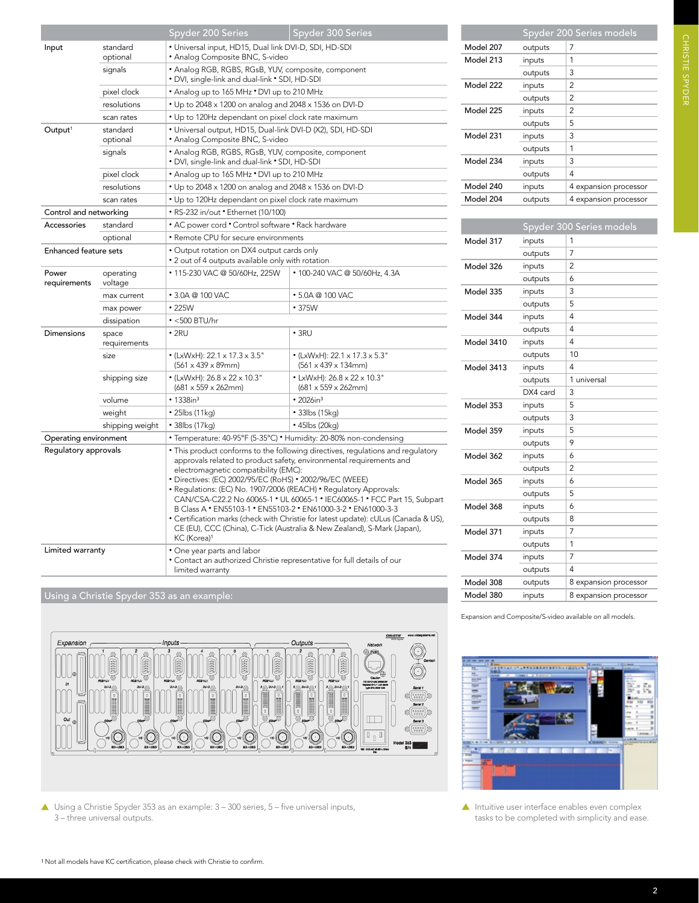|                              |                       | Spyder 200 Series                                                                                                                                                                                                                                                                                                                                                                                                                                                                                                                                                                                                                                                          | Spyder 300 Series                                                            |  |  |
|------------------------------|-----------------------|----------------------------------------------------------------------------------------------------------------------------------------------------------------------------------------------------------------------------------------------------------------------------------------------------------------------------------------------------------------------------------------------------------------------------------------------------------------------------------------------------------------------------------------------------------------------------------------------------------------------------------------------------------------------------|------------------------------------------------------------------------------|--|--|
| Input                        | standard<br>optional  | • Universal input, HD15, Dual link DVI-D, SDI, HD-SDI<br>· Analog Composite BNC, S-video                                                                                                                                                                                                                                                                                                                                                                                                                                                                                                                                                                                   |                                                                              |  |  |
|                              | signals               | • Analog RGB, RGBS, RGsB, YUV, composite, component<br>• DVI, single-link and dual-link • SDI, HD-SDI                                                                                                                                                                                                                                                                                                                                                                                                                                                                                                                                                                      |                                                                              |  |  |
|                              | pixel clock           | • Analog up to 165 MHz • DVI up to 210 MHz                                                                                                                                                                                                                                                                                                                                                                                                                                                                                                                                                                                                                                 |                                                                              |  |  |
|                              | resolutions           | • Up to 2048 x 1200 on analog and 2048 x 1536 on DVI-D                                                                                                                                                                                                                                                                                                                                                                                                                                                                                                                                                                                                                     |                                                                              |  |  |
|                              | scan rates            | • Up to 120Hz dependant on pixel clock rate maximum                                                                                                                                                                                                                                                                                                                                                                                                                                                                                                                                                                                                                        |                                                                              |  |  |
| Output <sup>1</sup>          | standard<br>optional  | • Universal output, HD15, Dual-link DVI-D (X2), SDI, HD-SDI<br>• Analog Composite BNC, S-video                                                                                                                                                                                                                                                                                                                                                                                                                                                                                                                                                                             |                                                                              |  |  |
|                              | signals               | • Analog RGB, RGBS, RGsB, YUV, composite, component<br>• DVI, single-link and dual-link • SDI, HD-SDI                                                                                                                                                                                                                                                                                                                                                                                                                                                                                                                                                                      |                                                                              |  |  |
|                              | pixel clock           | • Analog up to 165 MHz • DVI up to 210 MHz                                                                                                                                                                                                                                                                                                                                                                                                                                                                                                                                                                                                                                 |                                                                              |  |  |
|                              | resolutions           | • Up to 2048 x 1200 on analog and 2048 x 1536 on DVI-D                                                                                                                                                                                                                                                                                                                                                                                                                                                                                                                                                                                                                     |                                                                              |  |  |
|                              | scan rates            | • Up to 120Hz dependant on pixel clock rate maximum                                                                                                                                                                                                                                                                                                                                                                                                                                                                                                                                                                                                                        |                                                                              |  |  |
| Control and networking       |                       | • RS-232 in/out • Ethernet (10/100)                                                                                                                                                                                                                                                                                                                                                                                                                                                                                                                                                                                                                                        |                                                                              |  |  |
| Accessories                  | standard              | • AC power cord • Control software • Rack hardware                                                                                                                                                                                                                                                                                                                                                                                                                                                                                                                                                                                                                         |                                                                              |  |  |
|                              | optional              | • Remote CPU for secure environments                                                                                                                                                                                                                                                                                                                                                                                                                                                                                                                                                                                                                                       |                                                                              |  |  |
| <b>Enhanced feature sets</b> |                       | · Output rotation on DX4 output cards only<br>• 2 out of 4 outputs available only with rotation                                                                                                                                                                                                                                                                                                                                                                                                                                                                                                                                                                            |                                                                              |  |  |
| Power<br>requirements        | operating<br>voltage  | • 115-230 VAC @ 50/60Hz, 225W                                                                                                                                                                                                                                                                                                                                                                                                                                                                                                                                                                                                                                              | • 100-240 VAC @ 50/60Hz, 4.3A                                                |  |  |
|                              | max current           | • 3.0A @ 100 VAC                                                                                                                                                                                                                                                                                                                                                                                                                                                                                                                                                                                                                                                           | $\cdot$ 5.0A @ 100 VAC                                                       |  |  |
|                              | max power             | $\cdot$ 225W                                                                                                                                                                                                                                                                                                                                                                                                                                                                                                                                                                                                                                                               | $\cdot$ 375W                                                                 |  |  |
|                              | dissipation           | $\bullet$ <500 BTU/hr                                                                                                                                                                                                                                                                                                                                                                                                                                                                                                                                                                                                                                                      |                                                                              |  |  |
| Dimensions                   | space<br>requirements | $\cdot$ 2RU                                                                                                                                                                                                                                                                                                                                                                                                                                                                                                                                                                                                                                                                | $\cdot$ 3RU                                                                  |  |  |
|                              | size                  | • (LxWxH): 22.1 x 17.3 x 3.5"<br>$(561 \times 439 \times 89)$ mm)                                                                                                                                                                                                                                                                                                                                                                                                                                                                                                                                                                                                          | • (LxWxH): 22.1 x 17.3 x 5.3"<br>$(561 \times 439 \times 134)$ mm)           |  |  |
|                              | shipping size         | • (LxWxH): 26.8 x 22 x 10.3"<br>$(681 \times 559 \times 262$ mm)                                                                                                                                                                                                                                                                                                                                                                                                                                                                                                                                                                                                           | • LxWxH): $26.8 \times 22 \times 10.3$ "<br>$(681 \times 559 \times 262$ mm) |  |  |
|                              | volume                | • 1338in <sup>3</sup>                                                                                                                                                                                                                                                                                                                                                                                                                                                                                                                                                                                                                                                      | $• 2026$ in <sup>3</sup>                                                     |  |  |
|                              | weight                | • 25lbs (11kg)                                                                                                                                                                                                                                                                                                                                                                                                                                                                                                                                                                                                                                                             | $\cdot$ 33lbs (15kg)                                                         |  |  |
|                              | shipping weight       | • 38lbs (17kg)                                                                                                                                                                                                                                                                                                                                                                                                                                                                                                                                                                                                                                                             | • 45lbs (20kg)                                                               |  |  |
| Operating environment        |                       | • Temperature: 40-95°F (5-35°C) • Humidity: 20-80% non-condensing                                                                                                                                                                                                                                                                                                                                                                                                                                                                                                                                                                                                          |                                                                              |  |  |
| Regulatory approvals         |                       | • This product conforms to the following directives, regulations and regulatory<br>approvals related to product safety, environmental requirements and<br>electromagnetic compatibility (EMC):<br>• Directives: (EC) 2002/95/EC (RoHS) • 2002/96/EC (WEEE)<br>• Regulations: (EC) No. 1907/2006 (REACH) • Regulatory Approvals:<br>CAN/CSA-C22.2 No 60065-1 . UL 60065-1 . IEC60065-1 . FCC Part 15, Subpart<br>B Class A . EN55103-1 . EN55103-2 . EN61000-3-2 . EN61000-3-3<br>• Certification marks (check with Christie for latest update): cULus (Canada & US),<br>CE (EU), CCC (China), C-Tick (Australia & New Zealand), S-Mark (Japan),<br>KC (Korea) <sup>1</sup> |                                                                              |  |  |
| Limited warranty             |                       | • One year parts and labor<br>• Contact an authorized Christie representative for full details of our<br>limited warranty                                                                                                                                                                                                                                                                                                                                                                                                                                                                                                                                                  |                                                                              |  |  |

Using a Christie Spyder 353 as an example:



 Using a Christie Spyder 353 as an example: 3 – 300 series, 5 – five universal inputs, 3 – three universal outputs.

|           |         | Spyder 200 Series models |
|-----------|---------|--------------------------|
| Model 207 | outputs | 7                        |
| Model 213 | inputs  | 1                        |
|           | outputs | 3                        |
| Model 222 | inputs  | 2                        |
|           | outputs | 2                        |
| Model 225 | inputs  | 2                        |
|           | outputs | 5                        |
| Model 231 | inputs  | 3                        |
|           | outputs | 1                        |
| Model 234 | inputs  | 3                        |
|           | outputs | 4                        |
| Model 240 | inputs  | 4 expansion processor    |
| Model 204 | outputs | 4 expansion processor    |

|                   |          | Spyder 300 Series models |
|-------------------|----------|--------------------------|
| Model 317         | inputs   | 1                        |
|                   | outputs  | 7                        |
| Model 326         | inputs   | 2                        |
|                   | outputs  | 6                        |
| Model 335         | inputs   | 3                        |
|                   | outputs  | 5                        |
| Model 344         | inputs   | 4                        |
|                   | outputs  | 4                        |
| <b>Model 3410</b> | inputs   | 4                        |
|                   | outputs  | 10                       |
| Model 3413        | inputs   | 4                        |
|                   | outputs  | 1 universal              |
|                   | DX4 card | 3                        |
| Model 353         | inputs   | 5                        |
|                   | outputs  | 3                        |
| Model 359         | inputs   | 5                        |
|                   | outputs  | 9                        |
| Model 362         | inputs   | 6                        |
|                   | outputs  | 2                        |
| Model 365         | inputs   | 6                        |
|                   | outputs  | 5                        |
| Model 368         | inputs   | 6                        |
|                   | outputs  | 8                        |
| Model 371         | inputs   | 7                        |
|                   | outputs  | 1                        |
| Model 374         | inputs   | 7                        |
|                   | outputs  | 4                        |
| Model 308         | outputs  | 8 expansion processor    |
| Model 380         | inputs   | 8 expansion processor    |

Expansion and Composite/S-video available on all models.



 $\blacktriangle$  Intuitive user interface enables even complex tasks to be completed with simplicity and ease.